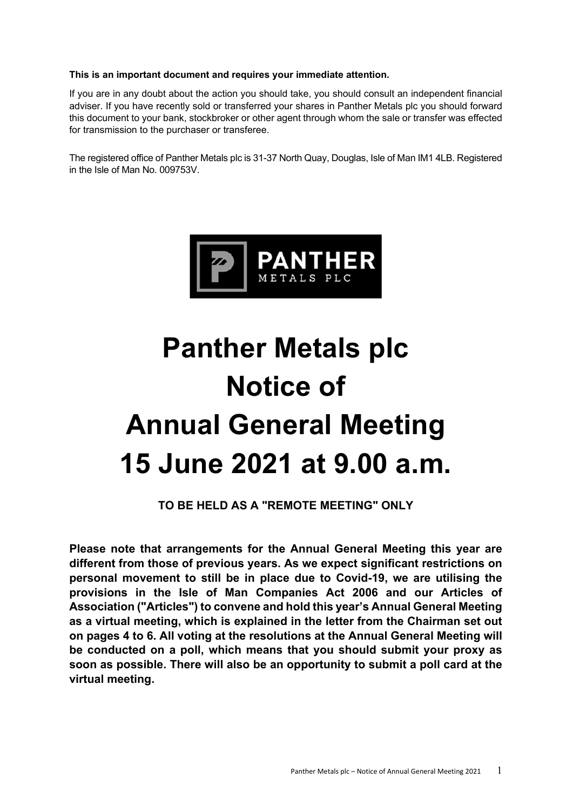# **This is an important document and requires your immediate attention.**

If you are in any doubt about the action you should take, you should consult an independent financial adviser. If you have recently sold or transferred your shares in Panther Metals plc you should forward this document to your bank, stockbroker or other agent through whom the sale or transfer was effected for transmission to the purchaser or transferee.

The registered office of Panther Metals plc is 31-37 North Quay, Douglas, Isle of Man IM1 4LB. Registered in the Isle of Man No. 009753V.



# **Panther Metals plc Notice of Annual General Meeting 15 June 2021 at 9.00 a.m.**

**TO BE HELD AS A "REMOTE MEETING" ONLY** 

**Please note that arrangements for the Annual General Meeting this year are different from those of previous years. As we expect significant restrictions on personal movement to still be in place due to Covid-19, we are utilising the provisions in the Isle of Man Companies Act 2006 and our Articles of Association ("Articles") to convene and hold this year's Annual General Meeting as a virtual meeting, which is explained in the letter from the Chairman set out on pages 4 to 6. All voting at the resolutions at the Annual General Meeting will be conducted on a poll, which means that you should submit your proxy as soon as possible. There will also be an opportunity to submit a poll card at the virtual meeting.**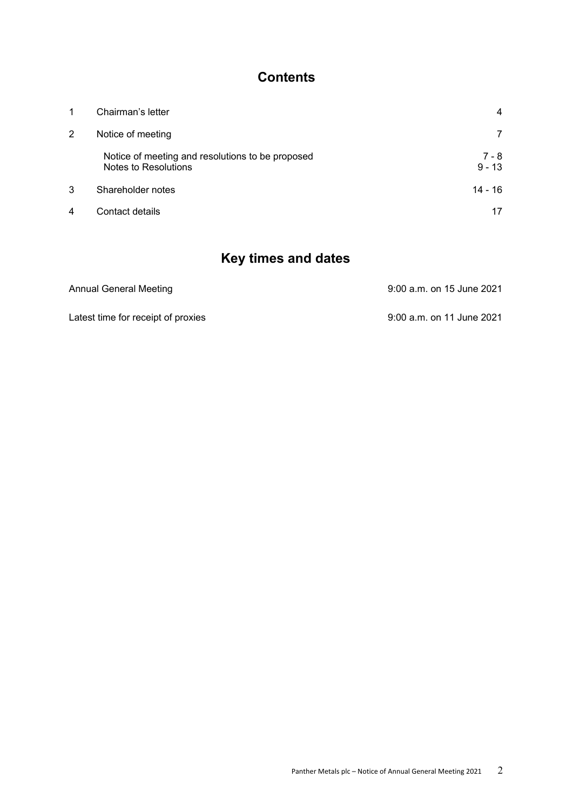# **Contents**

| 1 | Chairman's letter                                                        | 4                 |
|---|--------------------------------------------------------------------------|-------------------|
| 2 | Notice of meeting                                                        | 7                 |
|   | Notice of meeting and resolutions to be proposed<br>Notes to Resolutions | 7 - 8<br>$9 - 13$ |
| 3 | Shareholder notes                                                        | $14 - 16$         |
| 4 | Contact details                                                          | 17                |

# **Key times and dates**

| Annual General Meeting             | 9:00 a.m. on 15 June 2021 |
|------------------------------------|---------------------------|
| Latest time for receipt of proxies | 9:00 a.m. on 11 June 2021 |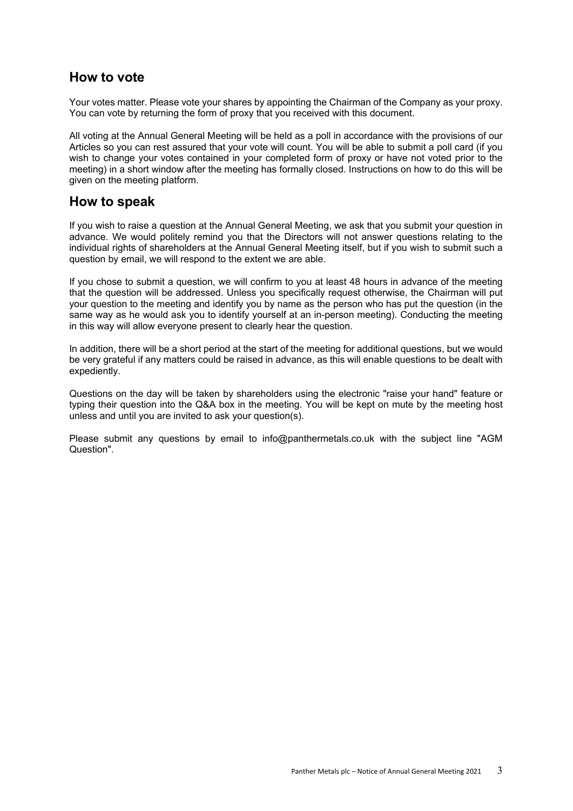# **How to vote**

Your votes matter. Please vote your shares by appointing the Chairman of the Company as your proxy. You can vote by returning the form of proxy that you received with this document.

All voting at the Annual General Meeting will be held as a poll in accordance with the provisions of our Articles so you can rest assured that your vote will count. You will be able to submit a poll card (if you wish to change your votes contained in your completed form of proxy or have not voted prior to the meeting) in a short window after the meeting has formally closed. Instructions on how to do this will be given on the meeting platform.

# **How to speak**

If you wish to raise a question at the Annual General Meeting, we ask that you submit your question in advance. We would politely remind you that the Directors will not answer questions relating to the individual rights of shareholders at the Annual General Meeting itself, but if you wish to submit such a question by email, we will respond to the extent we are able.

If you chose to submit a question, we will confirm to you at least 48 hours in advance of the meeting that the question will be addressed. Unless you specifically request otherwise, the Chairman will put your question to the meeting and identify you by name as the person who has put the question (in the same way as he would ask you to identify yourself at an in-person meeting). Conducting the meeting in this way will allow everyone present to clearly hear the question.

In addition, there will be a short period at the start of the meeting for additional questions, but we would be very grateful if any matters could be raised in advance, as this will enable questions to be dealt with expediently.

Questions on the day will be taken by shareholders using the electronic "raise your hand" feature or typing their question into the Q&A box in the meeting. You will be kept on mute by the meeting host unless and until you are invited to ask your question(s).

Please submit any questions by email to info@panthermetals.co.uk with the subject line "AGM Question".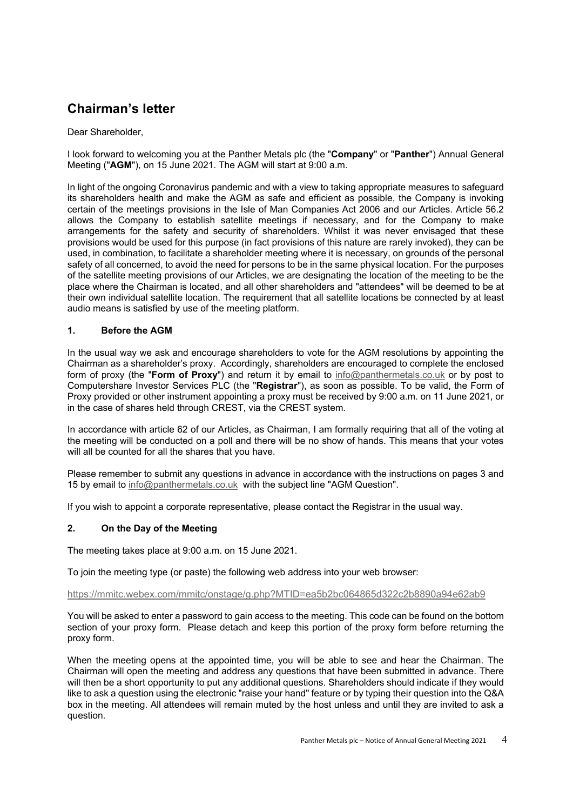# **Chairman's letter**

# Dear Shareholder,

I look forward to welcoming you at the Panther Metals plc (the "**Company**" or "**Panther**") Annual General Meeting ("**AGM**"), on 15 June 2021. The AGM will start at 9:00 a.m.

In light of the ongoing Coronavirus pandemic and with a view to taking appropriate measures to safeguard its shareholders health and make the AGM as safe and efficient as possible, the Company is invoking certain of the meetings provisions in the Isle of Man Companies Act 2006 and our Articles. Article 56.2 allows the Company to establish satellite meetings if necessary, and for the Company to make arrangements for the safety and security of shareholders. Whilst it was never envisaged that these provisions would be used for this purpose (in fact provisions of this nature are rarely invoked), they can be used, in combination, to facilitate a shareholder meeting where it is necessary, on grounds of the personal safety of all concerned, to avoid the need for persons to be in the same physical location. For the purposes of the satellite meeting provisions of our Articles, we are designating the location of the meeting to be the place where the Chairman is located, and all other shareholders and "attendees" will be deemed to be at their own individual satellite location. The requirement that all satellite locations be connected by at least audio means is satisfied by use of the meeting platform.

# **1. Before the AGM**

In the usual way we ask and encourage shareholders to vote for the AGM resolutions by appointing the Chairman as a shareholder's proxy. Accordingly, shareholders are encouraged to complete the enclosed form of proxy (the "**Form of Proxy**") and return it by email to info@panthermetals.co.uk or by post to Computershare Investor Services PLC (the "**Registrar**"), as soon as possible. To be valid, the Form of Proxy provided or other instrument appointing a proxy must be received by 9:00 a.m. on 11 June 2021, or in the case of shares held through CREST, via the CREST system.

In accordance with article 62 of our Articles, as Chairman, I am formally requiring that all of the voting at the meeting will be conducted on a poll and there will be no show of hands. This means that your votes will all be counted for all the shares that you have.

Please remember to submit any questions in advance in accordance with the instructions on pages 3 and 15 by email to info@panthermetals.co.uk with the subject line "AGM Question".

If you wish to appoint a corporate representative, please contact the Registrar in the usual way.

# **2. On the Day of the Meeting**

The meeting takes place at 9:00 a.m. on 15 June 2021.

To join the meeting type (or paste) the following web address into your web browser:

## https://mmitc.webex.com/mmitc/onstage/g.php?MTID=ea5b2bc064865d322c2b8890a94e62ab9

You will be asked to enter a password to gain access to the meeting. This code can be found on the bottom section of your proxy form. Please detach and keep this portion of the proxy form before returning the proxy form.

When the meeting opens at the appointed time, you will be able to see and hear the Chairman. The Chairman will open the meeting and address any questions that have been submitted in advance. There will then be a short opportunity to put any additional questions. Shareholders should indicate if they would like to ask a question using the electronic "raise your hand" feature or by typing their question into the Q&A box in the meeting. All attendees will remain muted by the host unless and until they are invited to ask a question.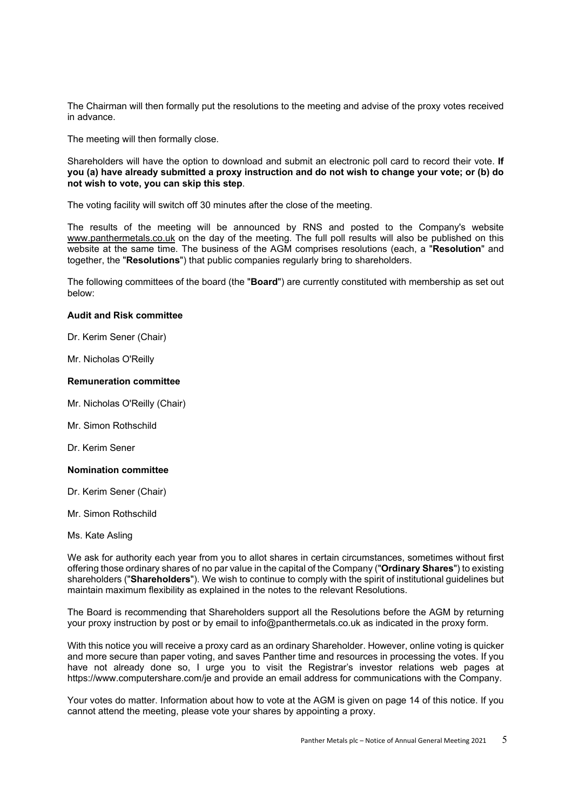The Chairman will then formally put the resolutions to the meeting and advise of the proxy votes received in advance.

The meeting will then formally close.

Shareholders will have the option to download and submit an electronic poll card to record their vote. **If you (a) have already submitted a proxy instruction and do not wish to change your vote; or (b) do not wish to vote, you can skip this step**.

The voting facility will switch off 30 minutes after the close of the meeting.

The results of the meeting will be announced by RNS and posted to the Company's website www.panthermetals.co.uk on the day of the meeting. The full poll results will also be published on this website at the same time. The business of the AGM comprises resolutions (each, a "**Resolution**" and together, the "**Resolutions**") that public companies regularly bring to shareholders.

The following committees of the board (the "**Board**") are currently constituted with membership as set out below:

#### **Audit and Risk committee**

Dr. Kerim Sener (Chair)

Mr. Nicholas O'Reilly

#### **Remuneration committee**

- Mr. Nicholas O'Reilly (Chair)
- Mr. Simon Rothschild

Dr. Kerim Sener

#### **Nomination committee**

- Dr. Kerim Sener (Chair)
- Mr. Simon Rothschild
- Ms. Kate Asling

We ask for authority each year from you to allot shares in certain circumstances, sometimes without first offering those ordinary shares of no par value in the capital of the Company ("**Ordinary Shares**") to existing shareholders ("**Shareholders**"). We wish to continue to comply with the spirit of institutional guidelines but maintain maximum flexibility as explained in the notes to the relevant Resolutions.

The Board is recommending that Shareholders support all the Resolutions before the AGM by returning your proxy instruction by post or by email to info@panthermetals.co.uk as indicated in the proxy form.

With this notice you will receive a proxy card as an ordinary Shareholder. However, online voting is quicker and more secure than paper voting, and saves Panther time and resources in processing the votes. If you have not already done so, I urge you to visit the Registrar's investor relations web pages at https://www.computershare.com/je and provide an email address for communications with the Company.

Your votes do matter. Information about how to vote at the AGM is given on page 14 of this notice. If you cannot attend the meeting, please vote your shares by appointing a proxy.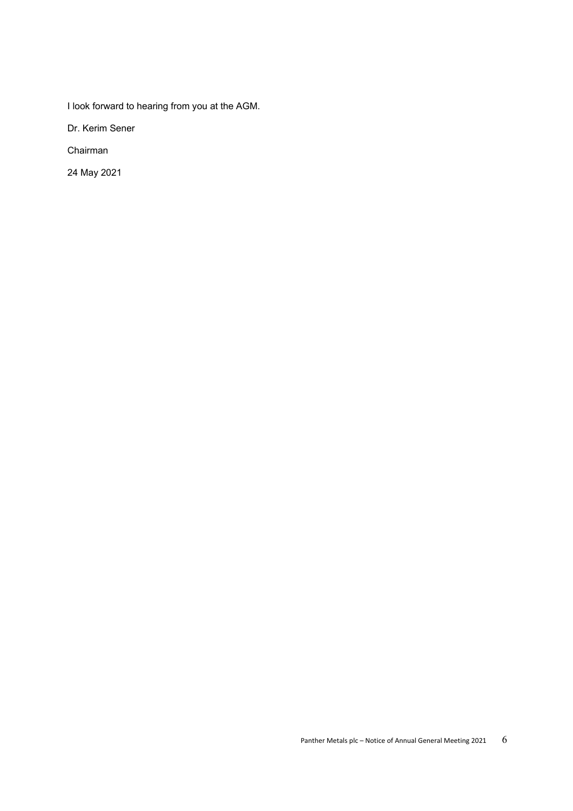I look forward to hearing from you at the AGM.

Dr. Kerim Sener

Chairman

24 May 2021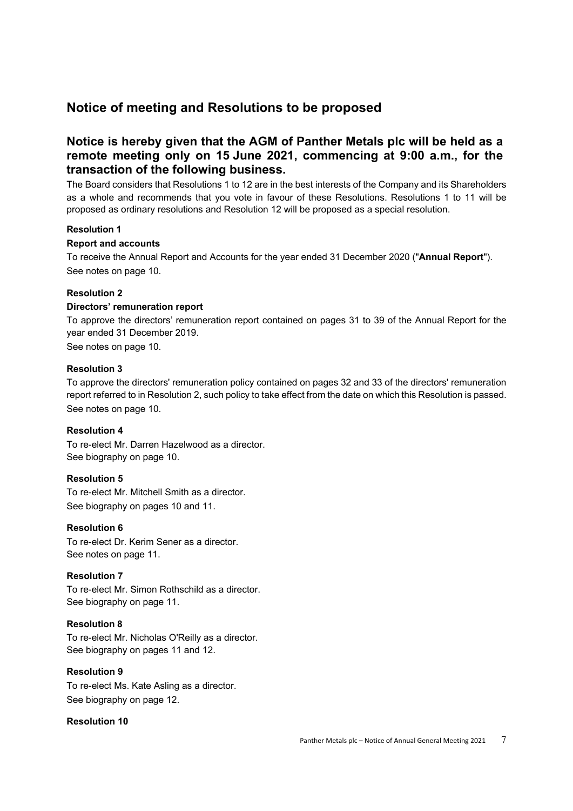# **Notice of meeting and Resolutions to be proposed**

# **Notice is hereby given that the AGM of Panther Metals plc will be held as a remote meeting only on 15 June 2021, commencing at 9:00 a.m., for the transaction of the following business.**

The Board considers that Resolutions 1 to 12 are in the best interests of the Company and its Shareholders as a whole and recommends that you vote in favour of these Resolutions. Resolutions 1 to 11 will be proposed as ordinary resolutions and Resolution 12 will be proposed as a special resolution.

# **Resolution 1**

# **Report and accounts**

To receive the Annual Report and Accounts for the year ended 31 December 2020 ("**Annual Report**"). See notes on page 10.

# **Resolution 2**

# **Directors' remuneration report**

To approve the directors' remuneration report contained on pages 31 to 39 of the Annual Report for the year ended 31 December 2019.

See notes on page 10.

## **Resolution 3**

To approve the directors' remuneration policy contained on pages 32 and 33 of the directors' remuneration report referred to in Resolution 2, such policy to take effect from the date on which this Resolution is passed. See notes on page 10.

## **Resolution 4**

To re-elect Mr. Darren Hazelwood as a director. See biography on page 10.

## **Resolution 5**

To re-elect Mr. Mitchell Smith as a director. See biography on pages 10 and 11.

## **Resolution 6**

To re-elect Dr. Kerim Sener as a director. See notes on page 11.

## **Resolution 7**

To re-elect Mr. Simon Rothschild as a director. See biography on page 11.

# **Resolution 8**

To re-elect Mr. Nicholas O'Reilly as a director. See biography on pages 11 and 12.

# **Resolution 9**

To re-elect Ms. Kate Asling as a director. See biography on page 12.

## **Resolution 10**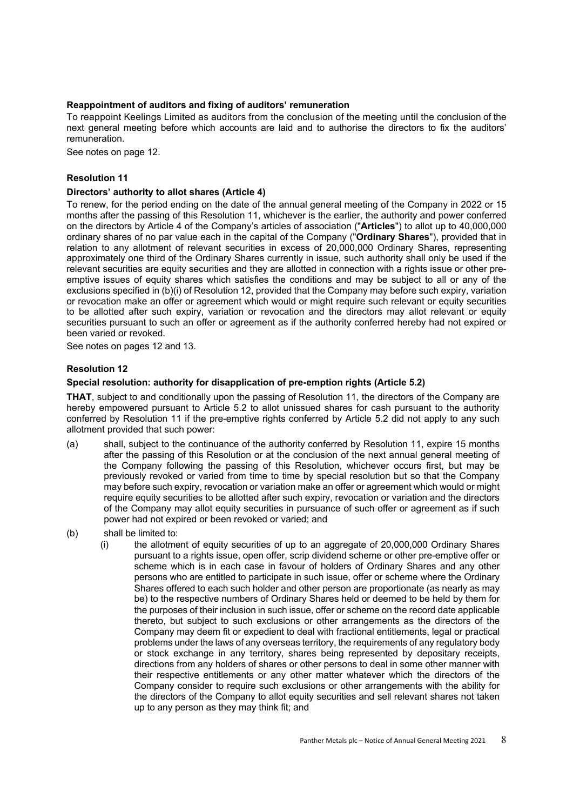# **Reappointment of auditors and fixing of auditors' remuneration**

To reappoint Keelings Limited as auditors from the conclusion of the meeting until the conclusion of the next general meeting before which accounts are laid and to authorise the directors to fix the auditors' remuneration.

See notes on page 12.

# **Resolution 11**

## **Directors' authority to allot shares (Article 4)**

To renew, for the period ending on the date of the annual general meeting of the Company in 2022 or 15 months after the passing of this Resolution 11, whichever is the earlier, the authority and power conferred on the directors by Article 4 of the Company's articles of association ("**Articles**") to allot up to 40,000,000 ordinary shares of no par value each in the capital of the Company ("**Ordinary Shares**"), provided that in relation to any allotment of relevant securities in excess of 20,000,000 Ordinary Shares, representing approximately one third of the Ordinary Shares currently in issue, such authority shall only be used if the relevant securities are equity securities and they are allotted in connection with a rights issue or other preemptive issues of equity shares which satisfies the conditions and may be subject to all or any of the exclusions specified in (b)(i) of Resolution 12, provided that the Company may before such expiry, variation or revocation make an offer or agreement which would or might require such relevant or equity securities to be allotted after such expiry, variation or revocation and the directors may allot relevant or equity securities pursuant to such an offer or agreement as if the authority conferred hereby had not expired or been varied or revoked.

See notes on pages 12 and 13.

## **Resolution 12**

## **Special resolution: authority for disapplication of pre-emption rights (Article 5.2)**

**THAT**, subject to and conditionally upon the passing of Resolution 11, the directors of the Company are hereby empowered pursuant to Article 5.2 to allot unissued shares for cash pursuant to the authority conferred by Resolution 11 if the pre-emptive rights conferred by Article 5.2 did not apply to any such allotment provided that such power:

- (a) shall, subject to the continuance of the authority conferred by Resolution 11, expire 15 months after the passing of this Resolution or at the conclusion of the next annual general meeting of the Company following the passing of this Resolution, whichever occurs first, but may be previously revoked or varied from time to time by special resolution but so that the Company may before such expiry, revocation or variation make an offer or agreement which would or might require equity securities to be allotted after such expiry, revocation or variation and the directors of the Company may allot equity securities in pursuance of such offer or agreement as if such power had not expired or been revoked or varied; and
- (b) shall be limited to:
	- (i) the allotment of equity securities of up to an aggregate of 20,000,000 Ordinary Shares pursuant to a rights issue, open offer, scrip dividend scheme or other pre-emptive offer or scheme which is in each case in favour of holders of Ordinary Shares and any other persons who are entitled to participate in such issue, offer or scheme where the Ordinary Shares offered to each such holder and other person are proportionate (as nearly as may be) to the respective numbers of Ordinary Shares held or deemed to be held by them for the purposes of their inclusion in such issue, offer or scheme on the record date applicable thereto, but subject to such exclusions or other arrangements as the directors of the Company may deem fit or expedient to deal with fractional entitlements, legal or practical problems under the laws of any overseas territory, the requirements of any regulatory body or stock exchange in any territory, shares being represented by depositary receipts, directions from any holders of shares or other persons to deal in some other manner with their respective entitlements or any other matter whatever which the directors of the Company consider to require such exclusions or other arrangements with the ability for the directors of the Company to allot equity securities and sell relevant shares not taken up to any person as they may think fit; and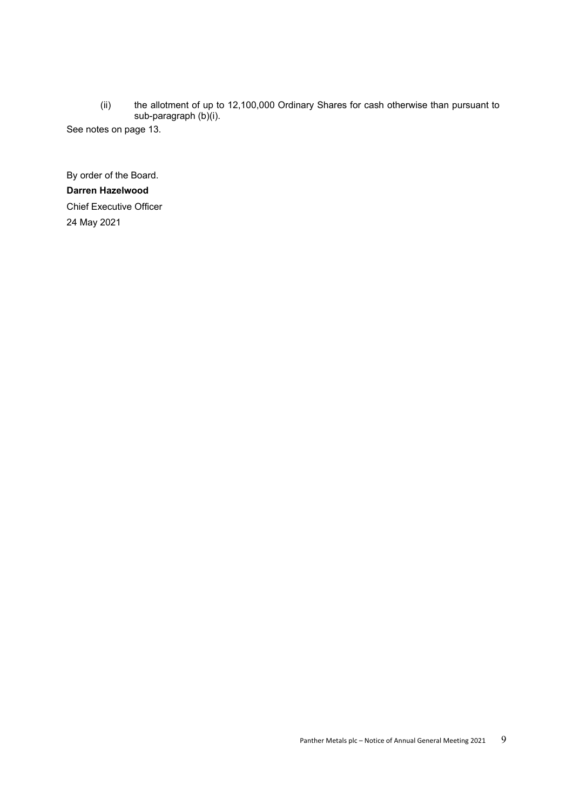(ii) the allotment of up to 12,100,000 Ordinary Shares for cash otherwise than pursuant to sub-paragraph (b)(i).

See notes on page 13.

By order of the Board. **Darren Hazelwood** Chief Executive Officer 24 May 2021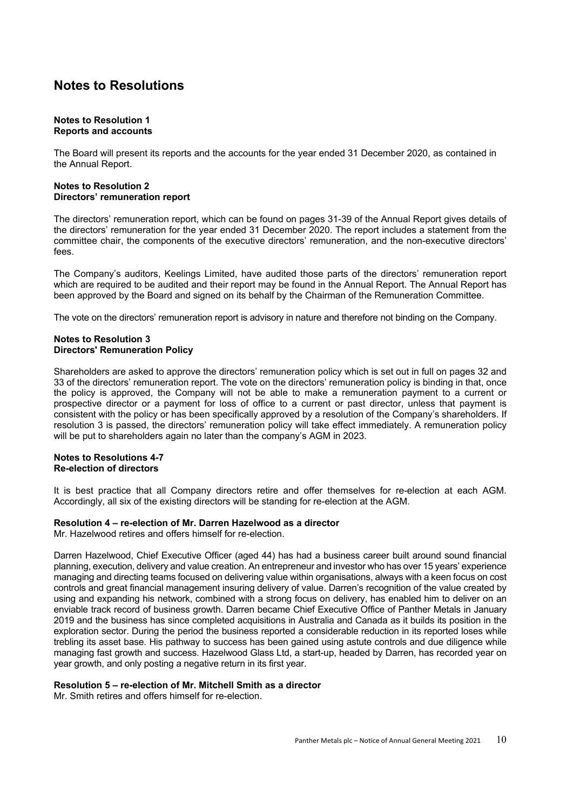# **Notes to Resolutions**

#### **Notes to Resolution 1 Reports and accounts**

The Board will present its reports and the accounts for the year ended 31 December 2020, as contained in the Annual Report.

## **Notes to Resolution 2 Directors' remuneration report**

The directors' remuneration report, which can be found on pages 31-39 of the Annual Report gives details of the directors' remuneration for the year ended 31 December 2020. The report includes a statement from the committee chair, the components of the executive directors' remuneration, and the non-executive directors' fees.

The Company's auditors, Keelings Limited, have audited those parts of the directors' remuneration report which are required to be audited and their report may be found in the Annual Report. The Annual Report has been approved by the Board and signed on its behalf by the Chairman of the Remuneration Committee.

The vote on the directors' remuneration report is advisory in nature and therefore not binding on the Company.

## **Notes to Resolution 3 Directors' Remuneration Policy**

Shareholders are asked to approve the directors' remuneration policy which is set out in full on pages 32 and 33 of the directors' remuneration report. The vote on the directors' remuneration policy is binding in that, once the policy is approved, the Company will not be able to make a remuneration payment to a current or prospective director or a payment for loss of office to a current or past director, unless that payment is consistent with the policy or has been specifically approved by a resolution of the Company's shareholders. If resolution 3 is passed, the directors' remuneration policy will take effect immediately. A remuneration policy will be put to shareholders again no later than the company's AGM in 2023.

## **Notes to Resolutions 4-7 Re-election of directors**

It is best practice that all Company directors retire and offer themselves for re-election at each AGM. Accordingly, all six of the existing directors will be standing for re-election at the AGM.

# **Resolution 4 – re-election of Mr. Darren Hazelwood as a director**

Mr. Hazelwood retires and offers himself for re-election.

Darren Hazelwood, Chief Executive Officer (aged 44) has had a business career built around sound financial planning, execution, delivery and value creation. An entrepreneur and investor who has over 15 years' experience managing and directing teams focused on delivering value within organisations, always with a keen focus on cost controls and great financial management insuring delivery of value. Darren's recognition of the value created by using and expanding his network, combined with a strong focus on delivery, has enabled him to deliver on an enviable track record of business growth. Darren became Chief Executive Office of Panther Metals in January 2019 and the business has since completed acquisitions in Australia and Canada as it builds its position in the exploration sector. During the period the business reported a considerable reduction in its reported loses while trebling its asset base. His pathway to success has been gained using astute controls and due diligence while managing fast growth and success. Hazelwood Glass Ltd, a start-up, headed by Darren, has recorded year on year growth, and only posting a negative return in its first year.

# **Resolution 5 – re-election of Mr. Mitchell Smith as a director**

Mr. Smith retires and offers himself for re-election.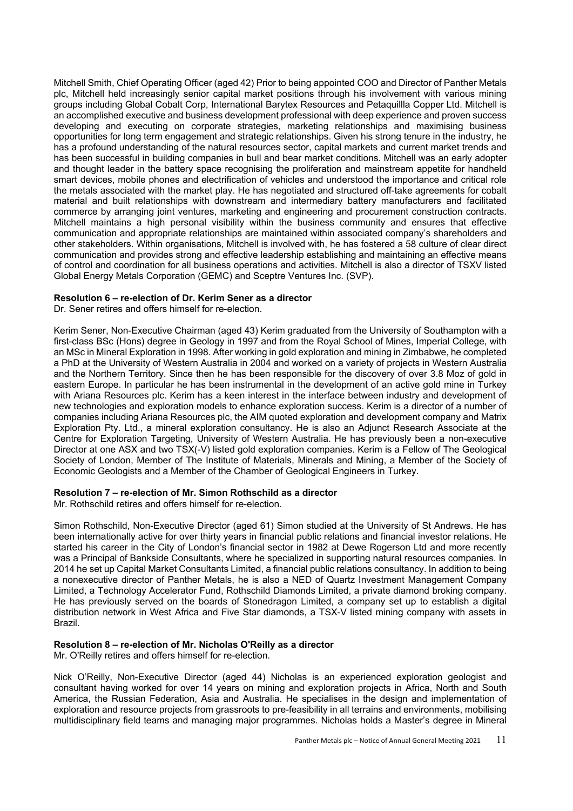Mitchell Smith, Chief Operating Officer (aged 42) Prior to being appointed COO and Director of Panther Metals plc, Mitchell held increasingly senior capital market positions through his involvement with various mining groups including Global Cobalt Corp, International Barytex Resources and Petaquillla Copper Ltd. Mitchell is an accomplished executive and business development professional with deep experience and proven success developing and executing on corporate strategies, marketing relationships and maximising business opportunities for long term engagement and strategic relationships. Given his strong tenure in the industry, he has a profound understanding of the natural resources sector, capital markets and current market trends and has been successful in building companies in bull and bear market conditions. Mitchell was an early adopter and thought leader in the battery space recognising the proliferation and mainstream appetite for handheld smart devices, mobile phones and electrification of vehicles and understood the importance and critical role the metals associated with the market play. He has negotiated and structured off-take agreements for cobalt material and built relationships with downstream and intermediary battery manufacturers and facilitated commerce by arranging joint ventures, marketing and engineering and procurement construction contracts. Mitchell maintains a high personal visibility within the business community and ensures that effective communication and appropriate relationships are maintained within associated company's shareholders and other stakeholders. Within organisations, Mitchell is involved with, he has fostered a 58 culture of clear direct communication and provides strong and effective leadership establishing and maintaining an effective means of control and coordination for all business operations and activities. Mitchell is also a director of TSXV listed Global Energy Metals Corporation (GEMC) and Sceptre Ventures Inc. (SVP).

## **Resolution 6 – re-election of Dr. Kerim Sener as a director**

Dr. Sener retires and offers himself for re-election.

Kerim Sener, Non-Executive Chairman (aged 43) Kerim graduated from the University of Southampton with a first-class BSc (Hons) degree in Geology in 1997 and from the Royal School of Mines, Imperial College, with an MSc in Mineral Exploration in 1998. After working in gold exploration and mining in Zimbabwe, he completed a PhD at the University of Western Australia in 2004 and worked on a variety of projects in Western Australia and the Northern Territory. Since then he has been responsible for the discovery of over 3.8 Moz of gold in eastern Europe. In particular he has been instrumental in the development of an active gold mine in Turkey with Ariana Resources plc. Kerim has a keen interest in the interface between industry and development of new technologies and exploration models to enhance exploration success. Kerim is a director of a number of companies including Ariana Resources plc, the AIM quoted exploration and development company and Matrix Exploration Pty. Ltd., a mineral exploration consultancy. He is also an Adjunct Research Associate at the Centre for Exploration Targeting, University of Western Australia. He has previously been a non-executive Director at one ASX and two TSX(-V) listed gold exploration companies. Kerim is a Fellow of The Geological Society of London, Member of The Institute of Materials, Minerals and Mining, a Member of the Society of Economic Geologists and a Member of the Chamber of Geological Engineers in Turkey.

## **Resolution 7 – re-election of Mr. Simon Rothschild as a director**

Mr. Rothschild retires and offers himself for re-election.

Simon Rothschild, Non-Executive Director (aged 61) Simon studied at the University of St Andrews. He has been internationally active for over thirty years in financial public relations and financial investor relations. He started his career in the City of London's financial sector in 1982 at Dewe Rogerson Ltd and more recently was a Principal of Bankside Consultants, where he specialized in supporting natural resources companies. In 2014 he set up Capital Market Consultants Limited, a financial public relations consultancy. In addition to being a nonexecutive director of Panther Metals, he is also a NED of Quartz Investment Management Company Limited, a Technology Accelerator Fund, Rothschild Diamonds Limited, a private diamond broking company. He has previously served on the boards of Stonedragon Limited, a company set up to establish a digital distribution network in West Africa and Five Star diamonds, a TSX-V listed mining company with assets in Brazil.

# **Resolution 8 – re-election of Mr. Nicholas O'Reilly as a director**

Mr. O'Reilly retires and offers himself for re-election.

Nick O'Reilly, Non-Executive Director (aged 44) Nicholas is an experienced exploration geologist and consultant having worked for over 14 years on mining and exploration projects in Africa, North and South America, the Russian Federation, Asia and Australia. He specialises in the design and implementation of exploration and resource projects from grassroots to pre-feasibility in all terrains and environments, mobilising multidisciplinary field teams and managing major programmes. Nicholas holds a Master's degree in Mineral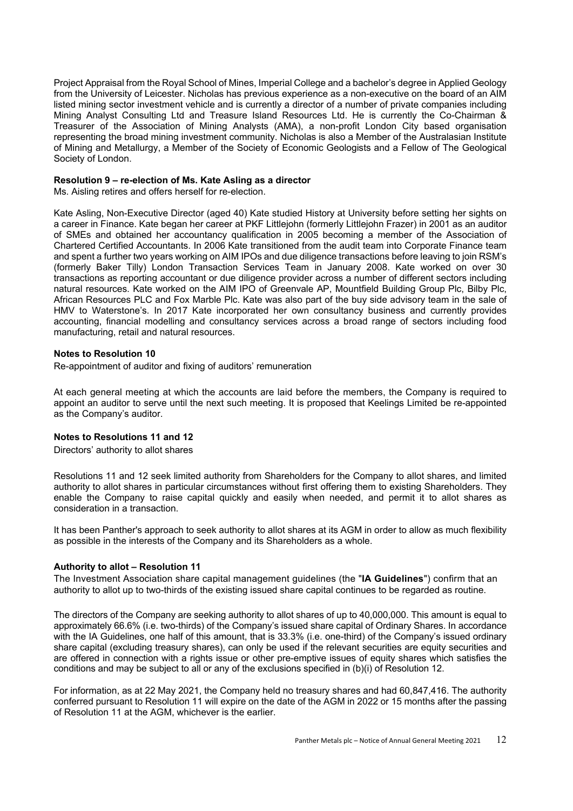Project Appraisal from the Royal School of Mines, Imperial College and a bachelor's degree in Applied Geology from the University of Leicester. Nicholas has previous experience as a non-executive on the board of an AIM listed mining sector investment vehicle and is currently a director of a number of private companies including Mining Analyst Consulting Ltd and Treasure Island Resources Ltd. He is currently the Co-Chairman & Treasurer of the Association of Mining Analysts (AMA), a non-profit London City based organisation representing the broad mining investment community. Nicholas is also a Member of the Australasian Institute of Mining and Metallurgy, a Member of the Society of Economic Geologists and a Fellow of The Geological Society of London.

## **Resolution 9 – re-election of Ms. Kate Asling as a director**

Ms. Aisling retires and offers herself for re-election.

Kate Asling, Non-Executive Director (aged 40) Kate studied History at University before setting her sights on a career in Finance. Kate began her career at PKF Littlejohn (formerly Littlejohn Frazer) in 2001 as an auditor of SMEs and obtained her accountancy qualification in 2005 becoming a member of the Association of Chartered Certified Accountants. In 2006 Kate transitioned from the audit team into Corporate Finance team and spent a further two years working on AIM IPOs and due diligence transactions before leaving to join RSM's (formerly Baker Tilly) London Transaction Services Team in January 2008. Kate worked on over 30 transactions as reporting accountant or due diligence provider across a number of different sectors including natural resources. Kate worked on the AIM IPO of Greenvale AP, Mountfield Building Group Plc, Bilby Plc, African Resources PLC and Fox Marble Plc. Kate was also part of the buy side advisory team in the sale of HMV to Waterstone's. In 2017 Kate incorporated her own consultancy business and currently provides accounting, financial modelling and consultancy services across a broad range of sectors including food manufacturing, retail and natural resources.

## **Notes to Resolution 10**

Re-appointment of auditor and fixing of auditors' remuneration

At each general meeting at which the accounts are laid before the members, the Company is required to appoint an auditor to serve until the next such meeting. It is proposed that Keelings Limited be re-appointed as the Company's auditor.

## **Notes to Resolutions 11 and 12**

Directors' authority to allot shares

Resolutions 11 and 12 seek limited authority from Shareholders for the Company to allot shares, and limited authority to allot shares in particular circumstances without first offering them to existing Shareholders. They enable the Company to raise capital quickly and easily when needed, and permit it to allot shares as consideration in a transaction.

It has been Panther's approach to seek authority to allot shares at its AGM in order to allow as much flexibility as possible in the interests of the Company and its Shareholders as a whole.

## **Authority to allot – Resolution 11**

The Investment Association share capital management guidelines (the "**IA Guidelines**") confirm that an authority to allot up to two-thirds of the existing issued share capital continues to be regarded as routine.

The directors of the Company are seeking authority to allot shares of up to 40,000,000. This amount is equal to approximately 66.6% (i.e. two-thirds) of the Company's issued share capital of Ordinary Shares. In accordance with the IA Guidelines, one half of this amount, that is 33.3% (i.e. one-third) of the Company's issued ordinary share capital (excluding treasury shares), can only be used if the relevant securities are equity securities and are offered in connection with a rights issue or other pre-emptive issues of equity shares which satisfies the conditions and may be subject to all or any of the exclusions specified in (b)(i) of Resolution 12.

For information, as at 22 May 2021, the Company held no treasury shares and had 60,847,416. The authority conferred pursuant to Resolution 11 will expire on the date of the AGM in 2022 or 15 months after the passing of Resolution 11 at the AGM, whichever is the earlier.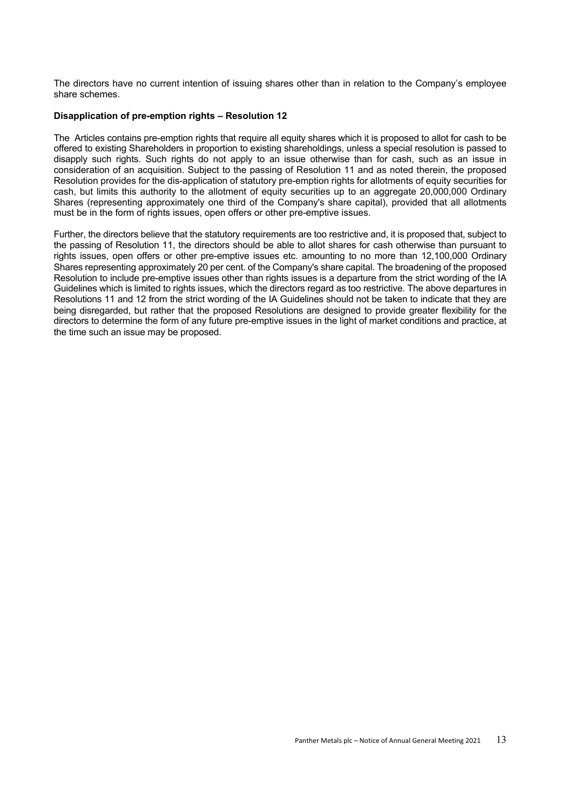The directors have no current intention of issuing shares other than in relation to the Company's employee share schemes.

#### **Disapplication of pre-emption rights – Resolution 12**

The Articles contains pre-emption rights that require all equity shares which it is proposed to allot for cash to be offered to existing Shareholders in proportion to existing shareholdings, unless a special resolution is passed to disapply such rights. Such rights do not apply to an issue otherwise than for cash, such as an issue in consideration of an acquisition. Subject to the passing of Resolution 11 and as noted therein, the proposed Resolution provides for the dis-application of statutory pre-emption rights for allotments of equity securities for cash, but limits this authority to the allotment of equity securities up to an aggregate 20,000,000 Ordinary Shares (representing approximately one third of the Company's share capital), provided that all allotments must be in the form of rights issues, open offers or other pre-emptive issues.

Further, the directors believe that the statutory requirements are too restrictive and, it is proposed that, subject to the passing of Resolution 11, the directors should be able to allot shares for cash otherwise than pursuant to rights issues, open offers or other pre-emptive issues etc. amounting to no more than 12,100,000 Ordinary Shares representing approximately 20 per cent. of the Company's share capital. The broadening of the proposed Resolution to include pre-emptive issues other than rights issues is a departure from the strict wording of the IA Guidelines which is limited to rights issues, which the directors regard as too restrictive. The above departures in Resolutions 11 and 12 from the strict wording of the IA Guidelines should not be taken to indicate that they are being disregarded, but rather that the proposed Resolutions are designed to provide greater flexibility for the directors to determine the form of any future pre-emptive issues in the light of market conditions and practice, at the time such an issue may be proposed.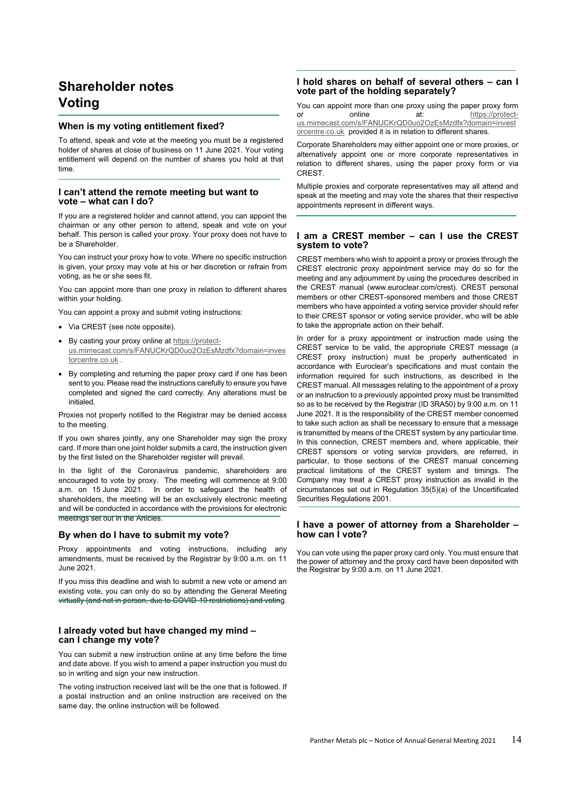# **Shareholder notes Voting**

#### **When is my voting entitlement fixed?**

To attend, speak and vote at the meeting you must be a registered holder of shares at close of business on 11 June 2021. Your voting entitlement will depend on the number of shares you hold at that time.

#### **I can't attend the remote meeting but want to vote – what can I do?**

If you are a registered holder and cannot attend, you can appoint the chairman or any other person to attend, speak and vote on your behalf. This person is called your proxy. Your proxy does not have to be a Shareholder.

You can instruct your proxy how to vote. Where no specific instruction is given, your proxy may vote at his or her discretion or refrain from voting, as he or she sees fit.

You can appoint more than one proxy in relation to different shares within your holding.

You can appoint a proxy and submit voting instructions:

- Via CREST (see note opposite).
- By casting your proxy online at https://protectus.mimecast.com/s/FANUCKrQD0uo2OzEsMzdfx?domain=inves torcentre.co.uk .
- By completing and returning the paper proxy card if one has been sent to you. Please read the instructions carefully to ensure you have completed and signed the card correctly. Any alterations must be initialed.

Proxies not properly notified to the Registrar may be denied access to the meeting.

If you own shares jointly, any one Shareholder may sign the proxy card. If more than one joint holder submits a card, the instruction given by the first listed on the Shareholder register will prevail.

In the light of the Coronavirus pandemic, shareholders are encouraged to vote by proxy. The meeting will commence at 9:00 a.m. on 15 June 2021. In order to safeguard the health of shareholders, the meeting will be an exclusively electronic meeting and will be conducted in accordance with the provisions for electronic meetings set out in the Articles.

#### **By when do I have to submit my vote?**

Proxy appointments and voting instructions, including any amendments, must be received by the Registrar by 9:00 a.m. on 11 June 2021.

If you miss this deadline and wish to submit a new vote or amend an existing vote, you can only do so by attending the General Meeting virtually (and not in person, due to COVID-19 restrictions) and voting.

#### **I already voted but have changed my mind – can I change my vote?**

You can submit a new instruction online at any time before the time and date above. If you wish to amend a paper instruction you must do so in writing and sign your new instruction.

The voting instruction received last will be the one that is followed. If a postal instruction and an online instruction are received on the same day, the online instruction will be followed.

#### **I hold shares on behalf of several others – can I vote part of the holding separately?**

You can appoint more than one proxy using the paper proxy form or online at: https://protectus.mimecast.com/s/FANUCKrQD0uo2OzEsMzdfx?domain=invest orcentre.co.uk provided it is in relation to different shares.

Corporate Shareholders may either appoint one or more proxies, or alternatively appoint one or more corporate representatives in relation to different shares, using the paper proxy form or via CREST.

Multiple proxies and corporate representatives may all attend and speak at the meeting and may vote the shares that their respective appointments represent in different ways.

#### **I am a CREST member – can I use the CREST system to vote?**

CREST members who wish to appoint a proxy or proxies through the CREST electronic proxy appointment service may do so for the meeting and any adjournment by using the procedures described in the CREST manual (www.euroclear.com/crest). CREST personal members or other CREST-sponsored members and those CREST members who have appointed a voting service provider should refer to their CREST sponsor or voting service provider, who will be able to take the appropriate action on their behalf.

In order for a proxy appointment or instruction made using the CREST service to be valid, the appropriate CREST message (a CREST proxy instruction) must be properly authenticated in accordance with Euroclear's specifications and must contain the information required for such instructions, as described in the CREST manual. All messages relating to the appointment of a proxy or an instruction to a previously appointed proxy must be transmitted so as to be received by the Registrar (ID 3RA50) by 9:00 a.m. on 11 June 2021. It is the responsibility of the CREST member concerned to take such action as shall be necessary to ensure that a message is transmitted by means of the CREST system by any particular time. In this connection, CREST members and, where applicable, their CREST sponsors or voting service providers, are referred, in particular, to those sections of the CREST manual concerning practical limitations of the CREST system and timings. The Company may treat a CREST proxy instruction as invalid in the circumstances set out in Regulation 35(5)(a) of the Uncertificated Securities Regulations 2001.

#### **I have a power of attorney from a Shareholder – how can I vote?**

You can vote using the paper proxy card only. You must ensure that the power of attorney and the proxy card have been deposited with the Registrar by 9:00 a.m. on 11 June 2021.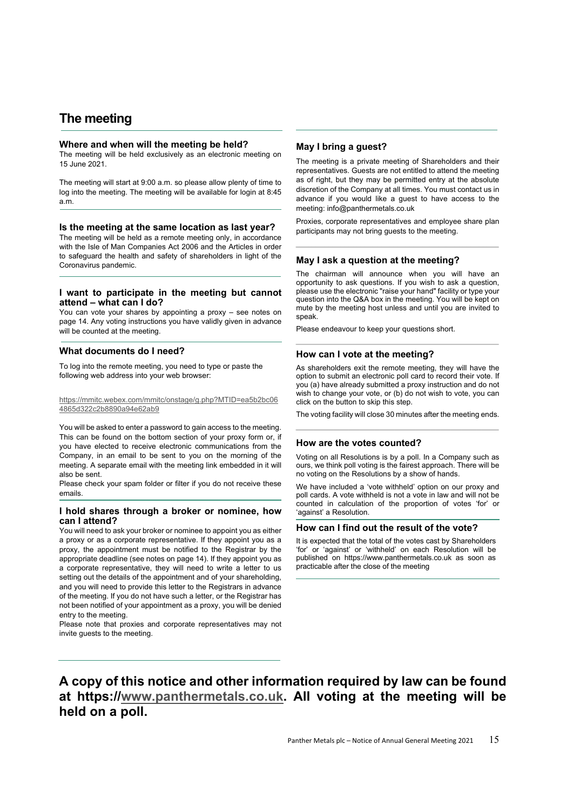# **The meeting**

#### **Where and when will the meeting be held?**

The meeting will be held exclusively as an electronic meeting on 15 June 2021.

The meeting will start at 9:00 a.m. so please allow plenty of time to log into the meeting. The meeting will be available for login at 8:45 a.m.

#### **Is the meeting at the same location as last year?**

The meeting will be held as a remote meeting only, in accordance with the Isle of Man Companies Act 2006 and the Articles in order to safeguard the health and safety of shareholders in light of the Coronavirus pandemic.

#### **I want to participate in the meeting but cannot attend – what can I do?**

You can vote your shares by appointing a proxy – see notes on page 14. Any voting instructions you have validly given in advance will be counted at the meeting.

#### **What documents do I need?**

To log into the remote meeting, you need to type or paste the following web address into your web browser:

https://mmitc.webex.com/mmitc/onstage/g.php?MTID=ea5b2bc06 4865d322c2b8890a94e62ab9

You will be asked to enter a password to gain access to the meeting. This can be found on the bottom section of your proxy form or, if you have elected to receive electronic communications from the Company, in an email to be sent to you on the morning of the meeting. A separate email with the meeting link embedded in it will also be sent.

Please check your spam folder or filter if you do not receive these emails.

#### **I hold shares through a broker or nominee, how can I attend?**

You will need to ask your broker or nominee to appoint you as either a proxy or as a corporate representative. If they appoint you as a proxy, the appointment must be notified to the Registrar by the appropriate deadline (see notes on page 14). If they appoint you as a corporate representative, they will need to write a letter to us setting out the details of the appointment and of your shareholding, and you will need to provide this letter to the Registrars in advance of the meeting. If you do not have such a letter, or the Registrar has not been notified of your appointment as a proxy, you will be denied entry to the meeting.

Please note that proxies and corporate representatives may not invite guests to the meeting.

#### **May I bring a guest?**

The meeting is a private meeting of Shareholders and their representatives. Guests are not entitled to attend the meeting as of right, but they may be permitted entry at the absolute discretion of the Company at all times. You must contact us in advance if you would like a guest to have access to the meeting: info@panthermetals.co.uk

Proxies, corporate representatives and employee share plan participants may not bring guests to the meeting.

#### **May I ask a question at the meeting?**

The chairman will announce when you will have an opportunity to ask questions. If you wish to ask a question, please use the electronic "raise your hand" facility or type your question into the Q&A box in the meeting. You will be kept on mute by the meeting host unless and until you are invited to speak.

Please endeavour to keep your questions short.

#### **How can I vote at the meeting?**

As shareholders exit the remote meeting, they will have the option to submit an electronic poll card to record their vote. If you (a) have already submitted a proxy instruction and do not wish to change your vote, or (b) do not wish to vote, you can click on the button to skip this step.

The voting facility will close 30 minutes after the meeting ends.

#### **How are the votes counted?**

Voting on all Resolutions is by a poll. In a Company such as ours, we think poll voting is the fairest approach. There will be no voting on the Resolutions by a show of hands.

We have included a 'vote withheld' option on our proxy and poll cards. A vote withheld is not a vote in law and will not be counted in calculation of the proportion of votes 'for' or 'against' a Resolution.

#### **How can I find out the result of the vote?**

It is expected that the total of the votes cast by Shareholders 'for' or 'against' or 'withheld' on each Resolution will be published on https://www.panthermetals.co.uk as soon as practicable after the close of the meeting

# **A copy of this notice and other information required by law can be found at https://www.panthermetals.co.uk. All voting at the meeting will be held on a poll.**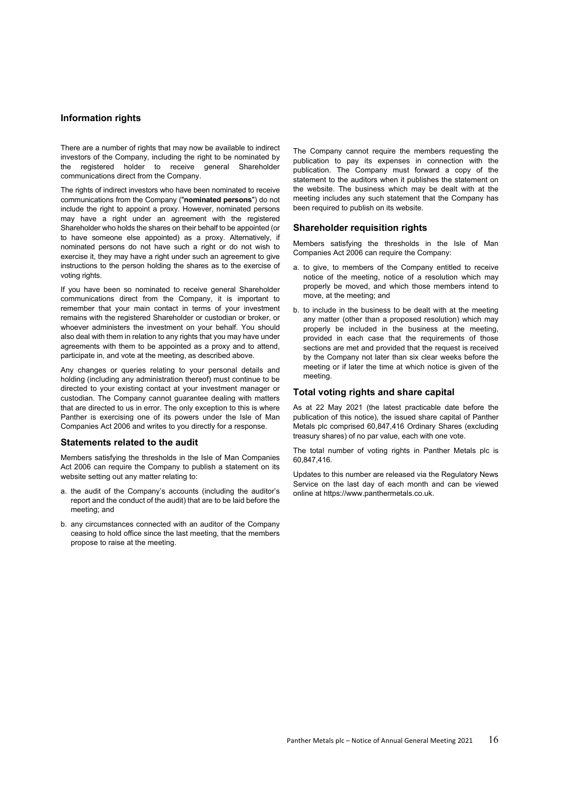#### **Information rights**

There are a number of rights that may now be available to indirect investors of the Company, including the right to be nominated by the registered holder to receive general Shareholder communications direct from the Company.

The rights of indirect investors who have been nominated to receive communications from the Company ("**nominated persons**") do not include the right to appoint a proxy. However, nominated persons may have a right under an agreement with the registered Shareholder who holds the shares on their behalf to be appointed (or to have someone else appointed) as a proxy. Alternatively, if nominated persons do not have such a right or do not wish to exercise it, they may have a right under such an agreement to give instructions to the person holding the shares as to the exercise of voting rights.

If you have been so nominated to receive general Shareholder communications direct from the Company, it is important to remember that your main contact in terms of your investment remains with the registered Shareholder or custodian or broker, or whoever administers the investment on your behalf. You should also deal with them in relation to any rights that you may have under agreements with them to be appointed as a proxy and to attend, participate in, and vote at the meeting, as described above.

Any changes or queries relating to your personal details and holding (including any administration thereof) must continue to be directed to your existing contact at your investment manager or custodian. The Company cannot guarantee dealing with matters that are directed to us in error. The only exception to this is where Panther is exercising one of its powers under the Isle of Man Companies Act 2006 and writes to you directly for a response.

#### **Statements related to the audit**

Members satisfying the thresholds in the Isle of Man Companies Act 2006 can require the Company to publish a statement on its website setting out any matter relating to:

- a. the audit of the Company's accounts (including the auditor's report and the conduct of the audit) that are to be laid before the meeting; and
- b. any circumstances connected with an auditor of the Company ceasing to hold office since the last meeting, that the members propose to raise at the meeting.

The Company cannot require the members requesting the publication to pay its expenses in connection with the publication. The Company must forward a copy of the statement to the auditors when it publishes the statement on the website. The business which may be dealt with at the meeting includes any such statement that the Company has been required to publish on its website.

#### **Shareholder requisition rights**

Members satisfying the thresholds in the Isle of Man Companies Act 2006 can require the Company:

- a. to give, to members of the Company entitled to receive notice of the meeting, notice of a resolution which may properly be moved, and which those members intend to move, at the meeting; and
- b. to include in the business to be dealt with at the meeting any matter (other than a proposed resolution) which may properly be included in the business at the meeting, provided in each case that the requirements of those sections are met and provided that the request is received by the Company not later than six clear weeks before the meeting or if later the time at which notice is given of the meeting.

#### **Total voting rights and share capital**

As at 22 May 2021 (the latest practicable date before the publication of this notice), the issued share capital of Panther Metals plc comprised 60,847,416 Ordinary Shares (excluding treasury shares) of no par value, each with one vote.

The total number of voting rights in Panther Metals plc is 60,847,416.

Updates to this number are released via the Regulatory News Service on the last day of each month and can be viewed online at https://www.panthermetals.co.uk.